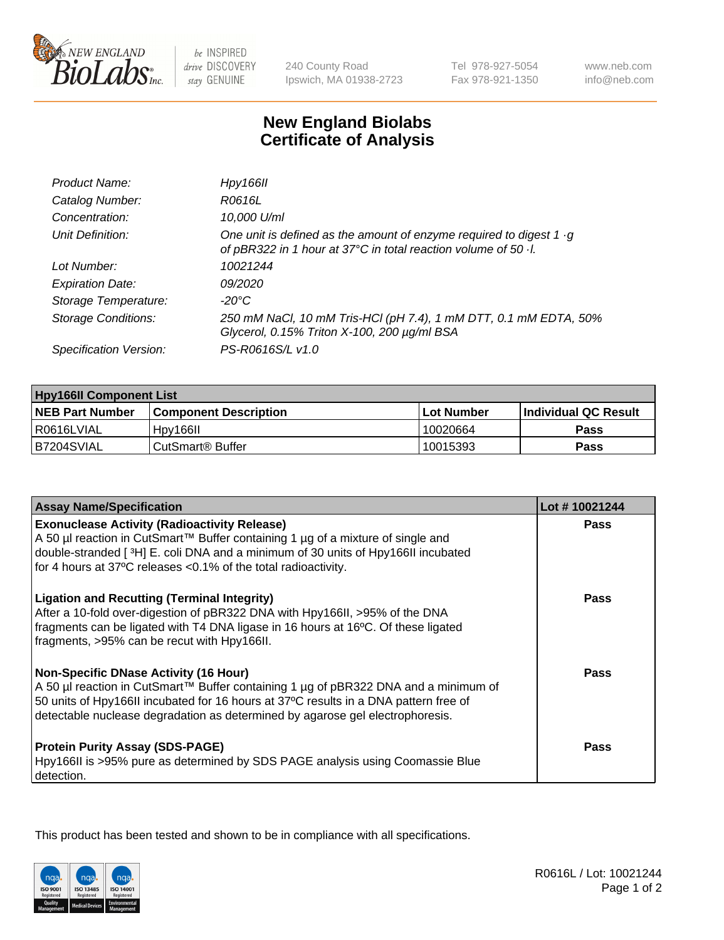

be INSPIRED drive DISCOVERY stay GENUINE

240 County Road Ipswich, MA 01938-2723 Tel 978-927-5054 Fax 978-921-1350

www.neb.com info@neb.com

## **New England Biolabs Certificate of Analysis**

| Product Name:           | Hpy166II                                                                                                                                      |
|-------------------------|-----------------------------------------------------------------------------------------------------------------------------------------------|
| Catalog Number:         | R0616L                                                                                                                                        |
| Concentration:          | 10,000 U/ml                                                                                                                                   |
| Unit Definition:        | One unit is defined as the amount of enzyme required to digest $1 \cdot g$<br>of pBR322 in 1 hour at 37°C in total reaction volume of 50 · l. |
| Lot Number:             | 10021244                                                                                                                                      |
| <b>Expiration Date:</b> | 09/2020                                                                                                                                       |
| Storage Temperature:    | -20°C                                                                                                                                         |
| Storage Conditions:     | 250 mM NaCl, 10 mM Tris-HCl (pH 7.4), 1 mM DTT, 0.1 mM EDTA, 50%<br>Glycerol, 0.15% Triton X-100, 200 µg/ml BSA                               |
| Specification Version:  | PS-R0616S/L v1.0                                                                                                                              |

| <b>Hpy166II Component List</b> |                              |                   |                             |  |
|--------------------------------|------------------------------|-------------------|-----------------------------|--|
| <b>NEB Part Number</b>         | <b>Component Description</b> | <b>Lot Number</b> | <b>Individual QC Result</b> |  |
| l R0616LVIAL                   | Hpy166II                     | 10020664          | <b>Pass</b>                 |  |
| B7204SVIAL                     | l CutSmart® Buffer           | 10015393          | Pass                        |  |

| <b>Assay Name/Specification</b>                                                                                                                                                                                                                                                                              | Lot #10021244 |
|--------------------------------------------------------------------------------------------------------------------------------------------------------------------------------------------------------------------------------------------------------------------------------------------------------------|---------------|
| <b>Exonuclease Activity (Radioactivity Release)</b>                                                                                                                                                                                                                                                          | <b>Pass</b>   |
| A 50 µl reaction in CutSmart™ Buffer containing 1 µg of a mixture of single and<br>double-stranded [3H] E. coli DNA and a minimum of 30 units of Hpy166II incubated                                                                                                                                          |               |
| for 4 hours at 37°C releases <0.1% of the total radioactivity.                                                                                                                                                                                                                                               |               |
| <b>Ligation and Recutting (Terminal Integrity)</b><br>After a 10-fold over-digestion of pBR322 DNA with Hpy166II, >95% of the DNA<br>fragments can be ligated with T4 DNA ligase in 16 hours at 16°C. Of these ligated<br>fragments, >95% can be recut with Hpy166II.                                        | <b>Pass</b>   |
| <b>Non-Specific DNase Activity (16 Hour)</b><br>A 50 µl reaction in CutSmart™ Buffer containing 1 µg of pBR322 DNA and a minimum of<br>50 units of Hpy166II incubated for 16 hours at 37°C results in a DNA pattern free of<br>detectable nuclease degradation as determined by agarose gel electrophoresis. | <b>Pass</b>   |
| <b>Protein Purity Assay (SDS-PAGE)</b><br>Hpy166II is >95% pure as determined by SDS PAGE analysis using Coomassie Blue<br>detection.                                                                                                                                                                        | Pass          |

This product has been tested and shown to be in compliance with all specifications.